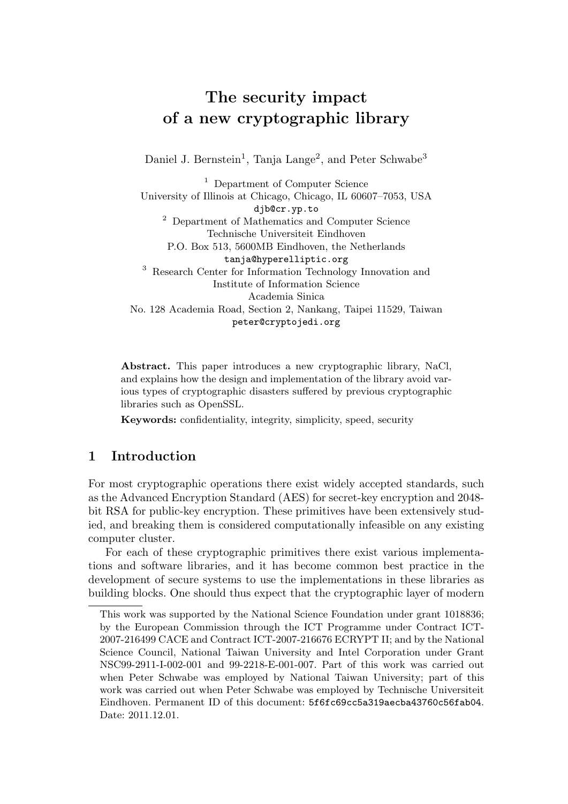# The security impact of a new cryptographic library

Daniel J. Bernstein<sup>1</sup>, Tanja Lange<sup>2</sup>, and Peter Schwabe<sup>3</sup>

<sup>1</sup> Department of Computer Science University of Illinois at Chicago, Chicago, IL 60607–7053, USA djb@cr.yp.to <sup>2</sup> Department of Mathematics and Computer Science Technische Universiteit Eindhoven P.O. Box 513, 5600MB Eindhoven, the Netherlands tanja@hyperelliptic.org <sup>3</sup> Research Center for Information Technology Innovation and Institute of Information Science Academia Sinica No. 128 Academia Road, Section 2, Nankang, Taipei 11529, Taiwan peter@cryptojedi.org

Abstract. This paper introduces a new cryptographic library, NaCl, and explains how the design and implementation of the library avoid various types of cryptographic disasters suffered by previous cryptographic libraries such as OpenSSL.

Keywords: confidentiality, integrity, simplicity, speed, security

## <span id="page-0-0"></span>1 Introduction

For most cryptographic operations there exist widely accepted standards, such as the Advanced Encryption Standard (AES) for secret-key encryption and 2048 bit RSA for public-key encryption. These primitives have been extensively studied, and breaking them is considered computationally infeasible on any existing computer cluster.

For each of these cryptographic primitives there exist various implementations and software libraries, and it has become common best practice in the development of secure systems to use the implementations in these libraries as building blocks. One should thus expect that the cryptographic layer of modern

This work was supported by the National Science Foundation under grant 1018836; by the European Commission through the ICT Programme under Contract ICT-2007-216499 CACE and Contract ICT-2007-216676 ECRYPT II; and by the National Science Council, National Taiwan University and Intel Corporation under Grant NSC99-2911-I-002-001 and 99-2218-E-001-007. Part of this work was carried out when Peter Schwabe was employed by National Taiwan University; part of this work was carried out when Peter Schwabe was employed by Technische Universiteit Eindhoven. Permanent ID of this document: 5f6fc69cc5a319aecba43760c56fab04. Date: 2011.12.01.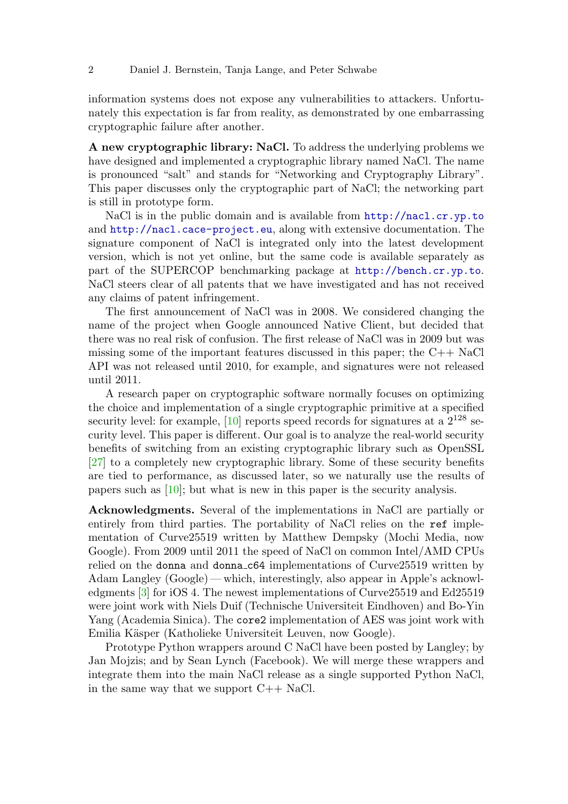information systems does not expose any vulnerabilities to attackers. Unfortunately this expectation is far from reality, as demonstrated by one embarrassing cryptographic failure after another.

A new cryptographic library: NaCl. To address the underlying problems we have designed and implemented a cryptographic library named NaCl. The name is pronounced "salt" and stands for "Networking and Cryptography Library". This paper discusses only the cryptographic part of NaCl; the networking part is still in prototype form.

NaCl is in the public domain and is available from <http://nacl.cr.yp.to> and <http://nacl.cace-project.eu>, along with extensive documentation. The signature component of NaCl is integrated only into the latest development version, which is not yet online, but the same code is available separately as part of the SUPERCOP benchmarking package at <http://bench.cr.yp.to>. NaCl steers clear of all patents that we have investigated and has not received any claims of patent infringement.

The first announcement of NaCl was in 2008. We considered changing the name of the project when Google announced Native Client, but decided that there was no real risk of confusion. The first release of NaCl was in 2009 but was missing some of the important features discussed in this paper; the C++ NaCl API was not released until 2010, for example, and signatures were not released until 2011.

A research paper on cryptographic software normally focuses on optimizing the choice and implementation of a single cryptographic primitive at a specified security level: for example,  $[10]$  reports speed records for signatures at a  $2^{128}$  security level. This paper is different. Our goal is to analyze the real-world security benefits of switching from an existing cryptographic library such as OpenSSL [\[27\]](#page-16-0) to a completely new cryptographic library. Some of these security benefits are tied to performance, as discussed later, so we naturally use the results of papers such as [\[10\]](#page-15-0); but what is new in this paper is the security analysis.

Acknowledgments. Several of the implementations in NaCl are partially or entirely from third parties. The portability of NaCl relies on the ref implementation of Curve25519 written by Matthew Dempsky (Mochi Media, now Google). From 2009 until 2011 the speed of NaCl on common Intel/AMD CPUs relied on the donna and donna c64 implementations of Curve25519 written by Adam Langley (Google) — which, interestingly, also appear in Apple's acknowledgments [\[3\]](#page-14-0) for iOS 4. The newest implementations of Curve25519 and Ed25519 were joint work with Niels Duif (Technische Universiteit Eindhoven) and Bo-Yin Yang (Academia Sinica). The core2 implementation of AES was joint work with Emilia Käsper (Katholieke Universiteit Leuven, now Google).

Prototype Python wrappers around C NaCl have been posted by Langley; by Jan Mojzis; and by Sean Lynch (Facebook). We will merge these wrappers and integrate them into the main NaCl release as a single supported Python NaCl, in the same way that we support  $C++$  NaCl.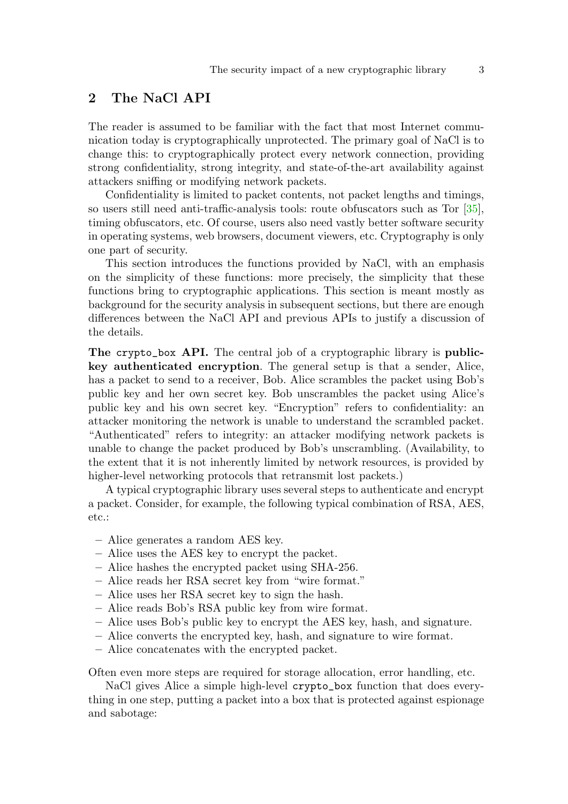### <span id="page-2-0"></span>2 The NaCl API

The reader is assumed to be familiar with the fact that most Internet communication today is cryptographically unprotected. The primary goal of NaCl is to change this: to cryptographically protect every network connection, providing strong confidentiality, strong integrity, and state-of-the-art availability against attackers sniffing or modifying network packets.

Confidentiality is limited to packet contents, not packet lengths and timings, so users still need anti-traffic-analysis tools: route obfuscators such as Tor [\[35\]](#page-16-1), timing obfuscators, etc. Of course, users also need vastly better software security in operating systems, web browsers, document viewers, etc. Cryptography is only one part of security.

This section introduces the functions provided by NaCl, with an emphasis on the simplicity of these functions: more precisely, the simplicity that these functions bring to cryptographic applications. This section is meant mostly as background for the security analysis in subsequent sections, but there are enough differences between the NaCl API and previous APIs to justify a discussion of the details.

The crypto\_box API. The central job of a cryptographic library is **public**key authenticated encryption. The general setup is that a sender, Alice, has a packet to send to a receiver, Bob. Alice scrambles the packet using Bob's public key and her own secret key. Bob unscrambles the packet using Alice's public key and his own secret key. "Encryption" refers to confidentiality: an attacker monitoring the network is unable to understand the scrambled packet. "Authenticated" refers to integrity: an attacker modifying network packets is unable to change the packet produced by Bob's unscrambling. (Availability, to the extent that it is not inherently limited by network resources, is provided by higher-level networking protocols that retransmit lost packets.)

A typical cryptographic library uses several steps to authenticate and encrypt a packet. Consider, for example, the following typical combination of RSA, AES, etc.:

- Alice generates a random AES key.
- Alice uses the AES key to encrypt the packet.
- Alice hashes the encrypted packet using SHA-256.
- Alice reads her RSA secret key from "wire format."
- Alice uses her RSA secret key to sign the hash.
- Alice reads Bob's RSA public key from wire format.
- Alice uses Bob's public key to encrypt the AES key, hash, and signature.
- Alice converts the encrypted key, hash, and signature to wire format.
- Alice concatenates with the encrypted packet.

Often even more steps are required for storage allocation, error handling, etc.

NaCl gives Alice a simple high-level crypto\_box function that does everything in one step, putting a packet into a box that is protected against espionage and sabotage: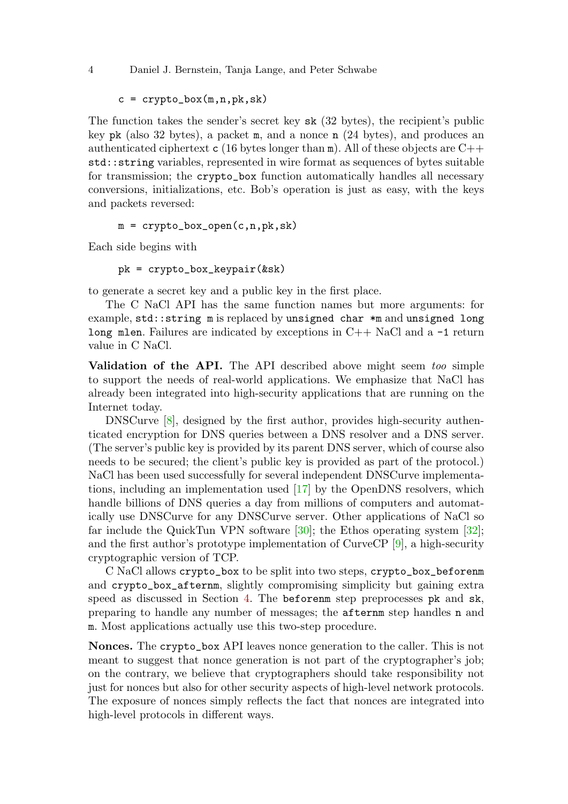$c = \text{crypto\_box(m,n,pk,sk)}$ 

The function takes the sender's secret key sk (32 bytes), the recipient's public key pk (also 32 bytes), a packet m, and a nonce n (24 bytes), and produces an authenticated ciphertext c (16 bytes longer than  $m$ ). All of these objects are  $C++$ std::string variables, represented in wire format as sequences of bytes suitable for transmission; the crypto\_box function automatically handles all necessary conversions, initializations, etc. Bob's operation is just as easy, with the keys and packets reversed:

 $m = \text{crypto\_box\_open}(c, n, pk, sk)$ 

Each side begins with

pk = crypto\_box\_keypair(&sk)

to generate a secret key and a public key in the first place.

The C NaCl API has the same function names but more arguments: for example, std::string m is replaced by unsigned char \*m and unsigned long long mlen. Failures are indicated by exceptions in  $C++$  NaCl and a  $-1$  return value in C NaCl.

Validation of the API. The API described above might seem too simple to support the needs of real-world applications. We emphasize that NaCl has already been integrated into high-security applications that are running on the Internet today.

DNSCurve [\[8\]](#page-15-1), designed by the first author, provides high-security authenticated encryption for DNS queries between a DNS resolver and a DNS server. (The server's public key is provided by its parent DNS server, which of course also needs to be secured; the client's public key is provided as part of the protocol.) NaCl has been used successfully for several independent DNSCurve implementations, including an implementation used [\[17\]](#page-15-2) by the OpenDNS resolvers, which handle billions of DNS queries a day from millions of computers and automatically use DNSCurve for any DNSCurve server. Other applications of NaCl so far include the QuickTun VPN software  $[30]$ ; the Ethos operating system  $[32]$ ; and the first author's prototype implementation of CurveCP [\[9\]](#page-15-3), a high-security cryptographic version of TCP.

C NaCl allows crypto\_box to be split into two steps, crypto\_box\_beforenm and crypto\_box\_afternm, slightly compromising simplicity but gaining extra speed as discussed in Section [4.](#page-9-0) The beforenm step preprocesses pk and sk, preparing to handle any number of messages; the afternm step handles n and m. Most applications actually use this two-step procedure.

Nonces. The crypto\_box API leaves nonce generation to the caller. This is not meant to suggest that nonce generation is not part of the cryptographer's job; on the contrary, we believe that cryptographers should take responsibility not just for nonces but also for other security aspects of high-level network protocols. The exposure of nonces simply reflects the fact that nonces are integrated into high-level protocols in different ways.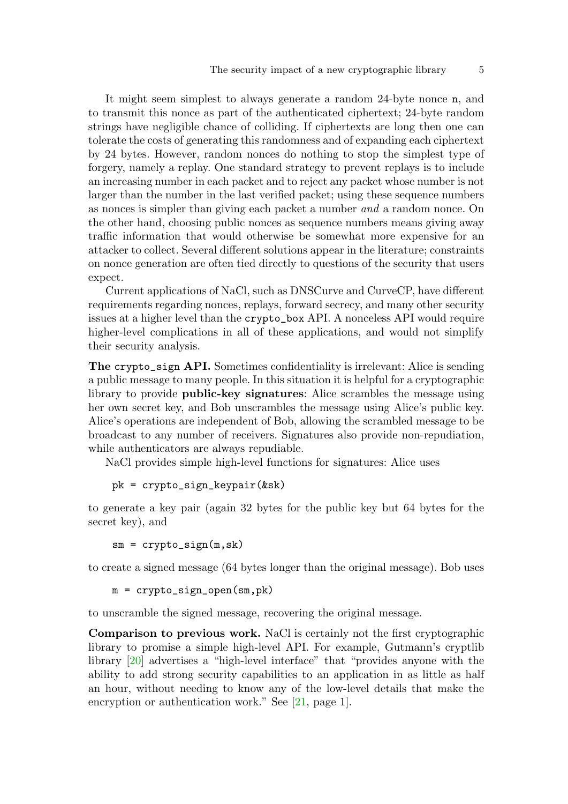It might seem simplest to always generate a random 24-byte nonce n, and to transmit this nonce as part of the authenticated ciphertext; 24-byte random strings have negligible chance of colliding. If ciphertexts are long then one can tolerate the costs of generating this randomness and of expanding each ciphertext by 24 bytes. However, random nonces do nothing to stop the simplest type of forgery, namely a replay. One standard strategy to prevent replays is to include an increasing number in each packet and to reject any packet whose number is not larger than the number in the last verified packet; using these sequence numbers as nonces is simpler than giving each packet a number and a random nonce. On the other hand, choosing public nonces as sequence numbers means giving away traffic information that would otherwise be somewhat more expensive for an attacker to collect. Several different solutions appear in the literature; constraints on nonce generation are often tied directly to questions of the security that users expect.

Current applications of NaCl, such as DNSCurve and CurveCP, have different requirements regarding nonces, replays, forward secrecy, and many other security issues at a higher level than the crypto\_box API. A nonceless API would require higher-level complications in all of these applications, and would not simplify their security analysis.

The crypto\_sign API. Sometimes confidentiality is irrelevant: Alice is sending a public message to many people. In this situation it is helpful for a cryptographic library to provide public-key signatures: Alice scrambles the message using her own secret key, and Bob unscrambles the message using Alice's public key. Alice's operations are independent of Bob, allowing the scrambled message to be broadcast to any number of receivers. Signatures also provide non-repudiation, while authenticators are always repudiable.

NaCl provides simple high-level functions for signatures: Alice uses

```
pk = crypto_sign_keypair(&sk)
```
to generate a key pair (again 32 bytes for the public key but 64 bytes for the secret key), and

 $sm = crypto\_sign(m, sk)$ 

to create a signed message (64 bytes longer than the original message). Bob uses

```
m = crypto_sign_open(sm,pk)
```
to unscramble the signed message, recovering the original message.

Comparison to previous work. NaCl is certainly not the first cryptographic library to promise a simple high-level API. For example, Gutmann's cryptlib library [\[20\]](#page-15-4) advertises a "high-level interface" that "provides anyone with the ability to add strong security capabilities to an application in as little as half an hour, without needing to know any of the low-level details that make the encryption or authentication work." See [\[21,](#page-15-5) page 1].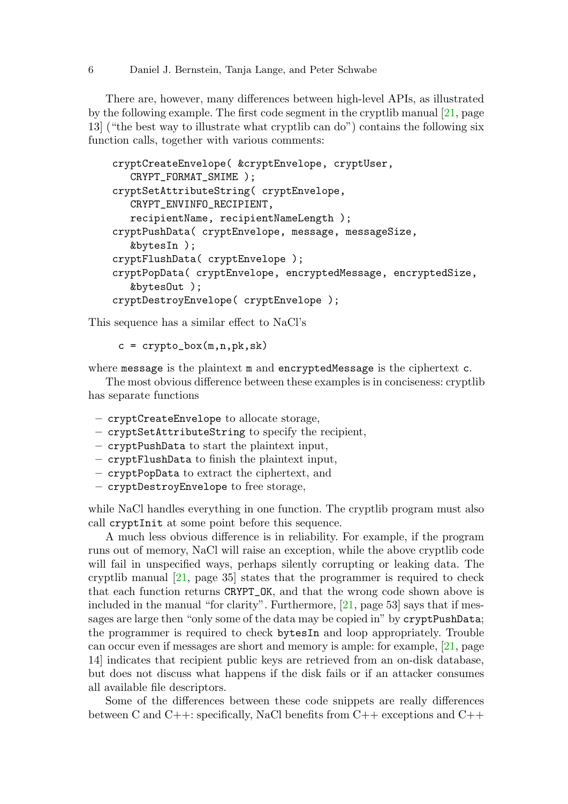There are, however, many differences between high-level APIs, as illustrated by the following example. The first code segment in the cryptlib manual [\[21,](#page-15-5) page 13] ("the best way to illustrate what cryptlib can do") contains the following six function calls, together with various comments:

```
cryptCreateEnvelope( &cryptEnvelope, cryptUser,
   CRYPT_FORMAT_SMIME );
cryptSetAttributeString( cryptEnvelope,
   CRYPT_ENVINFO_RECIPIENT,
   recipientName, recipientNameLength );
cryptPushData( cryptEnvelope, message, messageSize,
   &bytesIn );
cryptFlushData( cryptEnvelope );
cryptPopData( cryptEnvelope, encryptedMessage, encryptedSize,
   &bytesOut );
cryptDestroyEnvelope( cryptEnvelope );
```
This sequence has a similar effect to NaCl's

 $c = \text{crypto\_box(m,n,pk,sk)}$ 

where message is the plaintext m and encryptedMessage is the ciphertext c.

The most obvious difference between these examples is in conciseness: cryptlib has separate functions

- cryptCreateEnvelope to allocate storage,
- cryptSetAttributeString to specify the recipient,
- cryptPushData to start the plaintext input,
- cryptFlushData to finish the plaintext input,
- cryptPopData to extract the ciphertext, and
- cryptDestroyEnvelope to free storage,

while NaCl handles everything in one function. The cryptlib program must also call cryptInit at some point before this sequence.

A much less obvious difference is in reliability. For example, if the program runs out of memory, NaCl will raise an exception, while the above cryptlib code will fail in unspecified ways, perhaps silently corrupting or leaking data. The cryptlib manual  $[21, \text{ page } 35]$  $[21, \text{ page } 35]$  states that the programmer is required to check that each function returns CRYPT\_OK, and that the wrong code shown above is included in the manual "for clarity". Furthermore, [\[21,](#page-15-5) page 53] says that if messages are large then "only some of the data may be copied in" by cryptPushData; the programmer is required to check bytesIn and loop appropriately. Trouble can occur even if messages are short and memory is ample: for example, [\[21,](#page-15-5) page 14] indicates that recipient public keys are retrieved from an on-disk database, but does not discuss what happens if the disk fails or if an attacker consumes all available file descriptors.

Some of the differences between these code snippets are really differences between C and C++: specifically, NaCl benefits from C++ exceptions and C++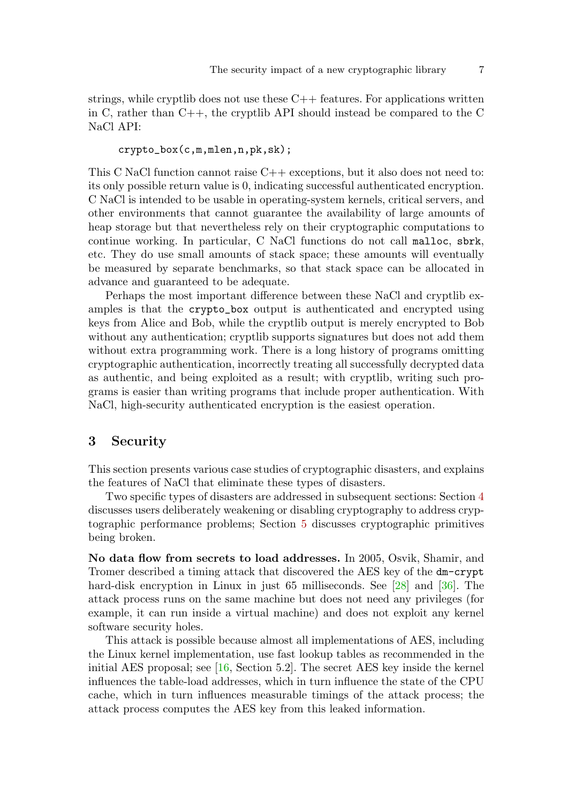strings, while cryptlib does not use these  $C++$  features. For applications written in C, rather than C++, the cryptlib API should instead be compared to the C NaCl API:

crypto\_box(c,m,mlen,n,pk,sk);

This C NaCl function cannot raise  $C++$  exceptions, but it also does not need to: its only possible return value is 0, indicating successful authenticated encryption. C NaCl is intended to be usable in operating-system kernels, critical servers, and other environments that cannot guarantee the availability of large amounts of heap storage but that nevertheless rely on their cryptographic computations to continue working. In particular, C NaCl functions do not call malloc, sbrk, etc. They do use small amounts of stack space; these amounts will eventually be measured by separate benchmarks, so that stack space can be allocated in advance and guaranteed to be adequate.

Perhaps the most important difference between these NaCl and cryptlib examples is that the crypto\_box output is authenticated and encrypted using keys from Alice and Bob, while the cryptlib output is merely encrypted to Bob without any authentication; cryptlib supports signatures but does not add them without extra programming work. There is a long history of programs omitting cryptographic authentication, incorrectly treating all successfully decrypted data as authentic, and being exploited as a result; with cryptlib, writing such programs is easier than writing programs that include proper authentication. With NaCl, high-security authenticated encryption is the easiest operation.

### <span id="page-6-0"></span>3 Security

This section presents various case studies of cryptographic disasters, and explains the features of NaCl that eliminate these types of disasters.

Two specific types of disasters are addressed in subsequent sections: Section [4](#page-9-0) discusses users deliberately weakening or disabling cryptography to address cryptographic performance problems; Section [5](#page-11-0) discusses cryptographic primitives being broken.

No data flow from secrets to load addresses. In 2005, Osvik, Shamir, and Tromer described a timing attack that discovered the AES key of the dm-crypt hard-disk encryption in Linux in just 65 milliseconds. See [\[28\]](#page-16-4) and [\[36\]](#page-16-5). The attack process runs on the same machine but does not need any privileges (for example, it can run inside a virtual machine) and does not exploit any kernel software security holes.

This attack is possible because almost all implementations of AES, including the Linux kernel implementation, use fast lookup tables as recommended in the initial AES proposal; see [\[16,](#page-15-6) Section 5.2]. The secret AES key inside the kernel influences the table-load addresses, which in turn influence the state of the CPU cache, which in turn influences measurable timings of the attack process; the attack process computes the AES key from this leaked information.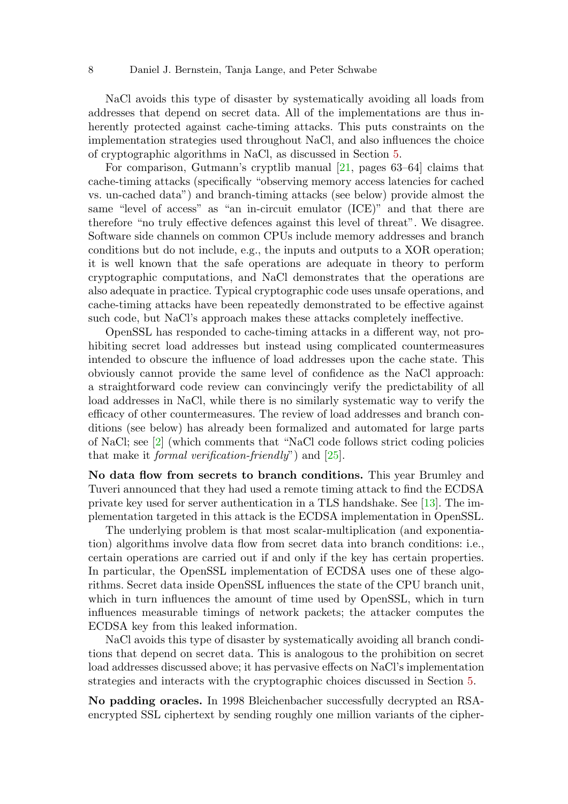NaCl avoids this type of disaster by systematically avoiding all loads from addresses that depend on secret data. All of the implementations are thus inherently protected against cache-timing attacks. This puts constraints on the implementation strategies used throughout NaCl, and also influences the choice of cryptographic algorithms in NaCl, as discussed in Section [5.](#page-11-0)

For comparison, Gutmann's cryptlib manual [\[21,](#page-15-5) pages 63–64] claims that cache-timing attacks (specifically "observing memory access latencies for cached vs. un-cached data") and branch-timing attacks (see below) provide almost the same "level of access" as "an in-circuit emulator (ICE)" and that there are therefore "no truly effective defences against this level of threat". We disagree. Software side channels on common CPUs include memory addresses and branch conditions but do not include, e.g., the inputs and outputs to a XOR operation; it is well known that the safe operations are adequate in theory to perform cryptographic computations, and NaCl demonstrates that the operations are also adequate in practice. Typical cryptographic code uses unsafe operations, and cache-timing attacks have been repeatedly demonstrated to be effective against such code, but NaCl's approach makes these attacks completely ineffective.

OpenSSL has responded to cache-timing attacks in a different way, not prohibiting secret load addresses but instead using complicated countermeasures intended to obscure the influence of load addresses upon the cache state. This obviously cannot provide the same level of confidence as the NaCl approach: a straightforward code review can convincingly verify the predictability of all load addresses in NaCl, while there is no similarly systematic way to verify the efficacy of other countermeasures. The review of load addresses and branch conditions (see below) has already been formalized and automated for large parts of NaCl; see [\[2\]](#page-14-1) (which comments that "NaCl code follows strict coding policies that make it *formal verification-friendly*") and  $[25]$ .

No data flow from secrets to branch conditions. This year Brumley and Tuveri announced that they had used a remote timing attack to find the ECDSA private key used for server authentication in a TLS handshake. See [\[13\]](#page-15-7). The implementation targeted in this attack is the ECDSA implementation in OpenSSL.

The underlying problem is that most scalar-multiplication (and exponentiation) algorithms involve data flow from secret data into branch conditions: i.e., certain operations are carried out if and only if the key has certain properties. In particular, the OpenSSL implementation of ECDSA uses one of these algorithms. Secret data inside OpenSSL influences the state of the CPU branch unit, which in turn influences the amount of time used by OpenSSL, which in turn influences measurable timings of network packets; the attacker computes the ECDSA key from this leaked information.

NaCl avoids this type of disaster by systematically avoiding all branch conditions that depend on secret data. This is analogous to the prohibition on secret load addresses discussed above; it has pervasive effects on NaCl's implementation strategies and interacts with the cryptographic choices discussed in Section [5.](#page-11-0)

No padding oracles. In 1998 Bleichenbacher successfully decrypted an RSAencrypted SSL ciphertext by sending roughly one million variants of the cipher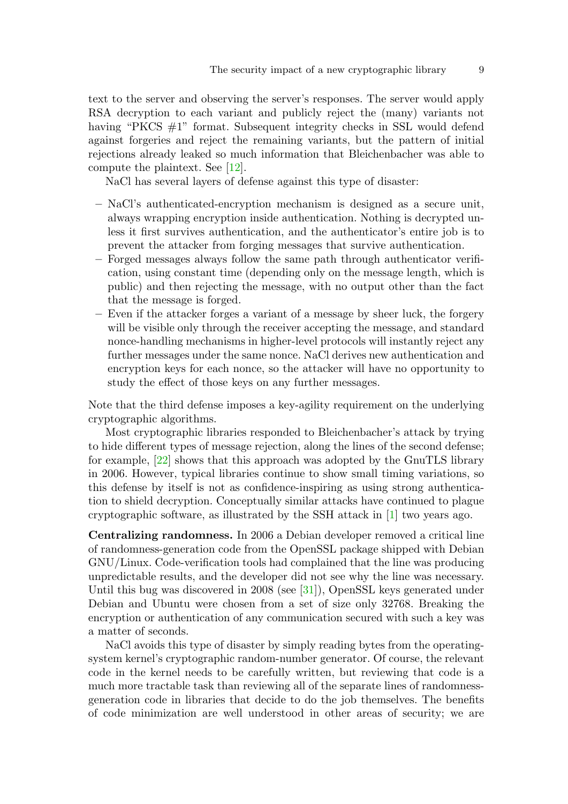text to the server and observing the server's responses. The server would apply RSA decryption to each variant and publicly reject the (many) variants not having "PKCS #1" format. Subsequent integrity checks in SSL would defend against forgeries and reject the remaining variants, but the pattern of initial rejections already leaked so much information that Bleichenbacher was able to compute the plaintext. See [\[12\]](#page-15-8).

NaCl has several layers of defense against this type of disaster:

- NaCl's authenticated-encryption mechanism is designed as a secure unit, always wrapping encryption inside authentication. Nothing is decrypted unless it first survives authentication, and the authenticator's entire job is to prevent the attacker from forging messages that survive authentication.
- Forged messages always follow the same path through authenticator verification, using constant time (depending only on the message length, which is public) and then rejecting the message, with no output other than the fact that the message is forged.
- Even if the attacker forges a variant of a message by sheer luck, the forgery will be visible only through the receiver accepting the message, and standard nonce-handling mechanisms in higher-level protocols will instantly reject any further messages under the same nonce. NaCl derives new authentication and encryption keys for each nonce, so the attacker will have no opportunity to study the effect of those keys on any further messages.

Note that the third defense imposes a key-agility requirement on the underlying cryptographic algorithms.

Most cryptographic libraries responded to Bleichenbacher's attack by trying to hide different types of message rejection, along the lines of the second defense; for example, [\[22\]](#page-15-9) shows that this approach was adopted by the GnuTLS library in 2006. However, typical libraries continue to show small timing variations, so this defense by itself is not as confidence-inspiring as using strong authentication to shield decryption. Conceptually similar attacks have continued to plague cryptographic software, as illustrated by the SSH attack in [\[1\]](#page-14-2) two years ago.

Centralizing randomness. In 2006 a Debian developer removed a critical line of randomness-generation code from the OpenSSL package shipped with Debian GNU/Linux. Code-verification tools had complained that the line was producing unpredictable results, and the developer did not see why the line was necessary. Until this bug was discovered in  $2008$  (see [\[31\]](#page-16-7)), OpenSSL keys generated under Debian and Ubuntu were chosen from a set of size only 32768. Breaking the encryption or authentication of any communication secured with such a key was a matter of seconds.

NaCl avoids this type of disaster by simply reading bytes from the operatingsystem kernel's cryptographic random-number generator. Of course, the relevant code in the kernel needs to be carefully written, but reviewing that code is a much more tractable task than reviewing all of the separate lines of randomnessgeneration code in libraries that decide to do the job themselves. The benefits of code minimization are well understood in other areas of security; we are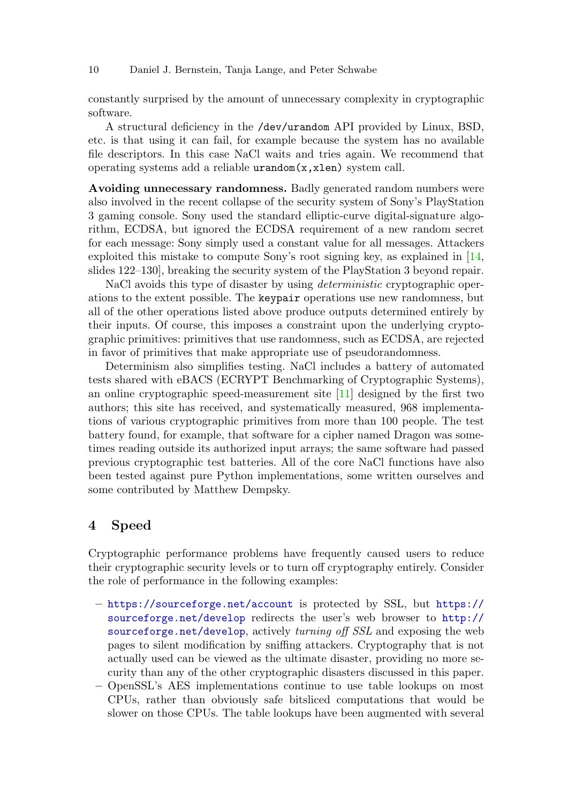constantly surprised by the amount of unnecessary complexity in cryptographic software.

A structural deficiency in the /dev/urandom API provided by Linux, BSD, etc. is that using it can fail, for example because the system has no available file descriptors. In this case NaCl waits and tries again. We recommend that operating systems add a reliable urandom(x,xlen) system call.

Avoiding unnecessary randomness. Badly generated random numbers were also involved in the recent collapse of the security system of Sony's PlayStation 3 gaming console. Sony used the standard elliptic-curve digital-signature algorithm, ECDSA, but ignored the ECDSA requirement of a new random secret for each message: Sony simply used a constant value for all messages. Attackers exploited this mistake to compute Sony's root signing key, as explained in [\[14,](#page-15-10) slides 122–130], breaking the security system of the PlayStation 3 beyond repair.

NaCl avoids this type of disaster by using *deterministic* cryptographic operations to the extent possible. The keypair operations use new randomness, but all of the other operations listed above produce outputs determined entirely by their inputs. Of course, this imposes a constraint upon the underlying cryptographic primitives: primitives that use randomness, such as ECDSA, are rejected in favor of primitives that make appropriate use of pseudorandomness.

Determinism also simplifies testing. NaCl includes a battery of automated tests shared with eBACS (ECRYPT Benchmarking of Cryptographic Systems), an online cryptographic speed-measurement site [\[11\]](#page-15-11) designed by the first two authors; this site has received, and systematically measured, 968 implementations of various cryptographic primitives from more than 100 people. The test battery found, for example, that software for a cipher named Dragon was sometimes reading outside its authorized input arrays; the same software had passed previous cryptographic test batteries. All of the core NaCl functions have also been tested against pure Python implementations, some written ourselves and some contributed by Matthew Dempsky.

### <span id="page-9-0"></span>4 Speed

Cryptographic performance problems have frequently caused users to reduce their cryptographic security levels or to turn off cryptography entirely. Consider the role of performance in the following examples:

- <https://sourceforge.net/account> is protected by SSL, but [https://](https://sourceforge.net/develop) [sourceforge.net/develop](https://sourceforge.net/develop) redirects the user's web browser to [http://](http://sourceforge.net/develop) [sourceforge.net/develop](http://sourceforge.net/develop), actively turning off SSL and exposing the web pages to silent modification by sniffing attackers. Cryptography that is not actually used can be viewed as the ultimate disaster, providing no more security than any of the other cryptographic disasters discussed in this paper.
- OpenSSL's AES implementations continue to use table lookups on most CPUs, rather than obviously safe bitsliced computations that would be slower on those CPUs. The table lookups have been augmented with several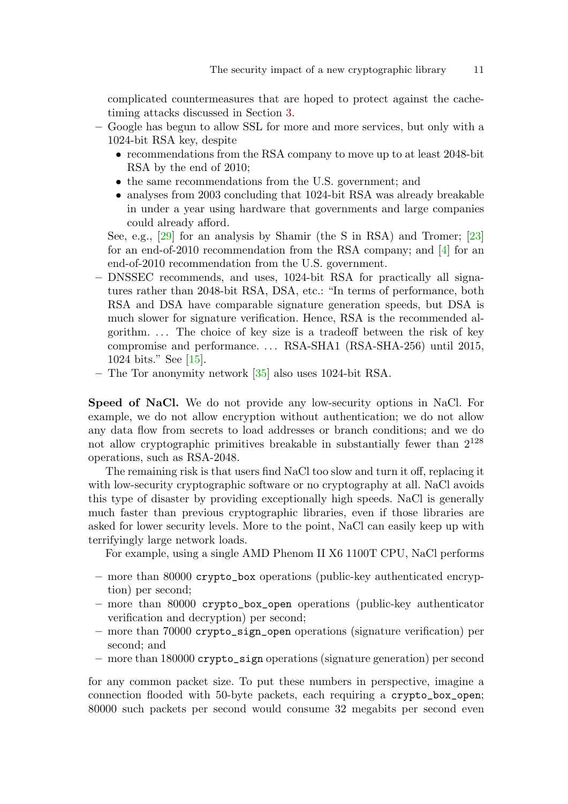complicated countermeasures that are hoped to protect against the cachetiming attacks discussed in Section [3.](#page-6-0)

- Google has begun to allow SSL for more and more services, but only with a 1024-bit RSA key, despite
	- recommendations from the RSA company to move up to at least 2048-bit RSA by the end of 2010;
	- the same recommendations from the U.S. government; and
	- analyses from 2003 concluding that 1024-bit RSA was already breakable in under a year using hardware that governments and large companies could already afford.

See, e.g., [\[29\]](#page-16-8) for an analysis by Shamir (the S in RSA) and Tromer; [\[23\]](#page-15-12) for an end-of-2010 recommendation from the RSA company; and  $[4]$  for an end-of-2010 recommendation from the U.S. government.

- DNSSEC recommends, and uses, 1024-bit RSA for practically all signatures rather than 2048-bit RSA, DSA, etc.: "In terms of performance, both RSA and DSA have comparable signature generation speeds, but DSA is much slower for signature verification. Hence, RSA is the recommended algorithm. . . . The choice of key size is a tradeoff between the risk of key compromise and performance. . . . RSA-SHA1 (RSA-SHA-256) until 2015, 1024 bits." See [\[15\]](#page-15-13).
- The Tor anonymity network [\[35\]](#page-16-1) also uses 1024-bit RSA.

Speed of NaCl. We do not provide any low-security options in NaCl. For example, we do not allow encryption without authentication; we do not allow any data flow from secrets to load addresses or branch conditions; and we do not allow cryptographic primitives breakable in substantially fewer than  $2^{128}$ operations, such as RSA-2048.

The remaining risk is that users find NaCl too slow and turn it off, replacing it with low-security cryptographic software or no cryptography at all. NaCl avoids this type of disaster by providing exceptionally high speeds. NaCl is generally much faster than previous cryptographic libraries, even if those libraries are asked for lower security levels. More to the point, NaCl can easily keep up with terrifyingly large network loads.

For example, using a single AMD Phenom II X6 1100T CPU, NaCl performs

- more than 80000 crypto\_box operations (public-key authenticated encryption) per second;
- more than 80000 crypto\_box\_open operations (public-key authenticator verification and decryption) per second;
- more than 70000 crypto\_sign\_open operations (signature verification) per second; and
- more than 180000 crypto\_sign operations (signature generation) per second

for any common packet size. To put these numbers in perspective, imagine a connection flooded with 50-byte packets, each requiring a crypto\_box\_open; 80000 such packets per second would consume 32 megabits per second even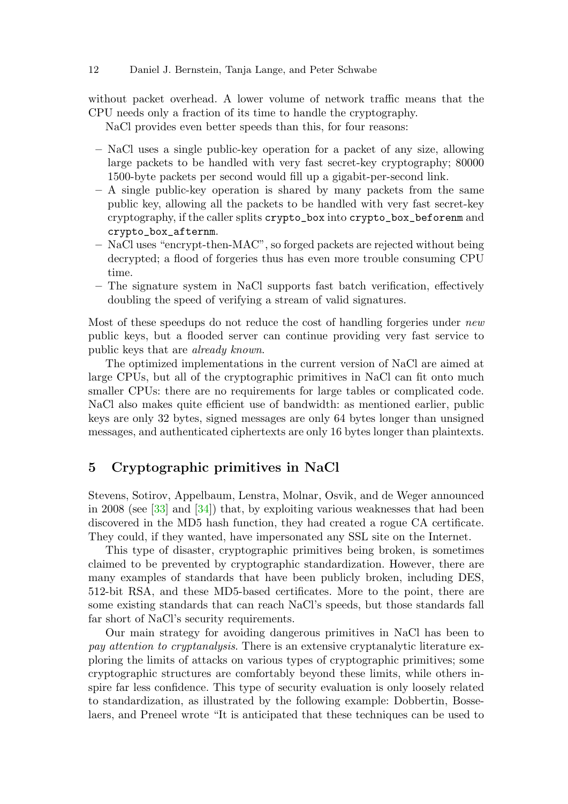without packet overhead. A lower volume of network traffic means that the CPU needs only a fraction of its time to handle the cryptography.

NaCl provides even better speeds than this, for four reasons:

- NaCl uses a single public-key operation for a packet of any size, allowing large packets to be handled with very fast secret-key cryptography; 80000 1500-byte packets per second would fill up a gigabit-per-second link.
- A single public-key operation is shared by many packets from the same public key, allowing all the packets to be handled with very fast secret-key cryptography, if the caller splits crypto\_box into crypto\_box\_beforenm and crypto\_box\_afternm.
- NaCl uses "encrypt-then-MAC", so forged packets are rejected without being decrypted; a flood of forgeries thus has even more trouble consuming CPU time.
- The signature system in NaCl supports fast batch verification, effectively doubling the speed of verifying a stream of valid signatures.

Most of these speedups do not reduce the cost of handling forgeries under *new* public keys, but a flooded server can continue providing very fast service to public keys that are already known.

The optimized implementations in the current version of NaCl are aimed at large CPUs, but all of the cryptographic primitives in NaCl can fit onto much smaller CPUs: there are no requirements for large tables or complicated code. NaCl also makes quite efficient use of bandwidth: as mentioned earlier, public keys are only 32 bytes, signed messages are only 64 bytes longer than unsigned messages, and authenticated ciphertexts are only 16 bytes longer than plaintexts.

### <span id="page-11-0"></span>5 Cryptographic primitives in NaCl

Stevens, Sotirov, Appelbaum, Lenstra, Molnar, Osvik, and de Weger announced in 2008 (see  $[33]$  and  $[34]$ ) that, by exploiting various weaknesses that had been discovered in the MD5 hash function, they had created a rogue CA certificate. They could, if they wanted, have impersonated any SSL site on the Internet.

This type of disaster, cryptographic primitives being broken, is sometimes claimed to be prevented by cryptographic standardization. However, there are many examples of standards that have been publicly broken, including DES, 512-bit RSA, and these MD5-based certificates. More to the point, there are some existing standards that can reach NaCl's speeds, but those standards fall far short of NaCl's security requirements.

Our main strategy for avoiding dangerous primitives in NaCl has been to pay attention to cryptanalysis. There is an extensive cryptanalytic literature exploring the limits of attacks on various types of cryptographic primitives; some cryptographic structures are comfortably beyond these limits, while others inspire far less confidence. This type of security evaluation is only loosely related to standardization, as illustrated by the following example: Dobbertin, Bosselaers, and Preneel wrote "It is anticipated that these techniques can be used to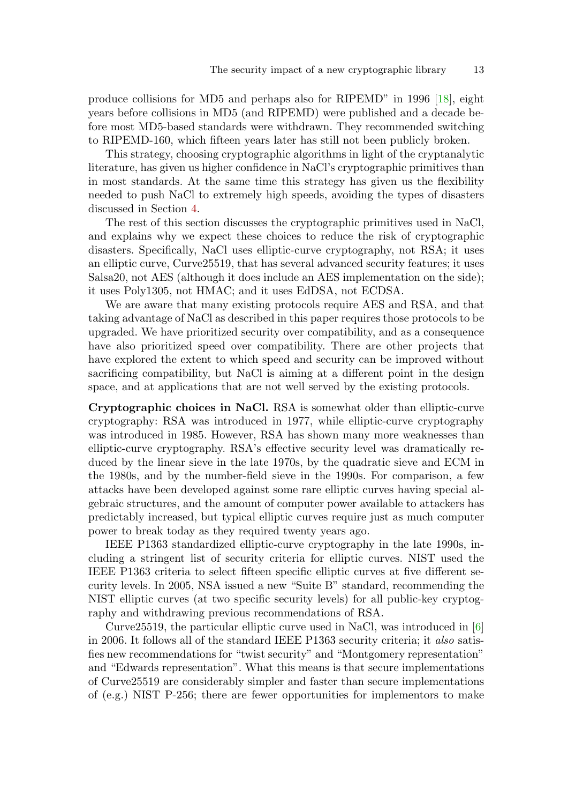produce collisions for MD5 and perhaps also for RIPEMD" in 1996 [\[18\]](#page-15-14), eight years before collisions in MD5 (and RIPEMD) were published and a decade before most MD5-based standards were withdrawn. They recommended switching to RIPEMD-160, which fifteen years later has still not been publicly broken.

This strategy, choosing cryptographic algorithms in light of the cryptanalytic literature, has given us higher confidence in NaCl's cryptographic primitives than in most standards. At the same time this strategy has given us the flexibility needed to push NaCl to extremely high speeds, avoiding the types of disasters discussed in Section [4.](#page-9-0)

The rest of this section discusses the cryptographic primitives used in NaCl, and explains why we expect these choices to reduce the risk of cryptographic disasters. Specifically, NaCl uses elliptic-curve cryptography, not RSA; it uses an elliptic curve, Curve25519, that has several advanced security features; it uses Salsa20, not AES (although it does include an AES implementation on the side); it uses Poly1305, not HMAC; and it uses EdDSA, not ECDSA.

We are aware that many existing protocols require AES and RSA, and that taking advantage of NaCl as described in this paper requires those protocols to be upgraded. We have prioritized security over compatibility, and as a consequence have also prioritized speed over compatibility. There are other projects that have explored the extent to which speed and security can be improved without sacrificing compatibility, but NaCl is aiming at a different point in the design space, and at applications that are not well served by the existing protocols.

Cryptographic choices in NaCl. RSA is somewhat older than elliptic-curve cryptography: RSA was introduced in 1977, while elliptic-curve cryptography was introduced in 1985. However, RSA has shown many more weaknesses than elliptic-curve cryptography. RSA's effective security level was dramatically reduced by the linear sieve in the late 1970s, by the quadratic sieve and ECM in the 1980s, and by the number-field sieve in the 1990s. For comparison, a few attacks have been developed against some rare elliptic curves having special algebraic structures, and the amount of computer power available to attackers has predictably increased, but typical elliptic curves require just as much computer power to break today as they required twenty years ago.

IEEE P1363 standardized elliptic-curve cryptography in the late 1990s, including a stringent list of security criteria for elliptic curves. NIST used the IEEE P1363 criteria to select fifteen specific elliptic curves at five different security levels. In 2005, NSA issued a new "Suite B" standard, recommending the NIST elliptic curves (at two specific security levels) for all public-key cryptography and withdrawing previous recommendations of RSA.

Curve25519, the particular elliptic curve used in NaCl, was introduced in [\[6\]](#page-15-15) in 2006. It follows all of the standard IEEE P1363 security criteria; it also satisfies new recommendations for "twist security" and "Montgomery representation" and "Edwards representation". What this means is that secure implementations of Curve25519 are considerably simpler and faster than secure implementations of (e.g.) NIST P-256; there are fewer opportunities for implementors to make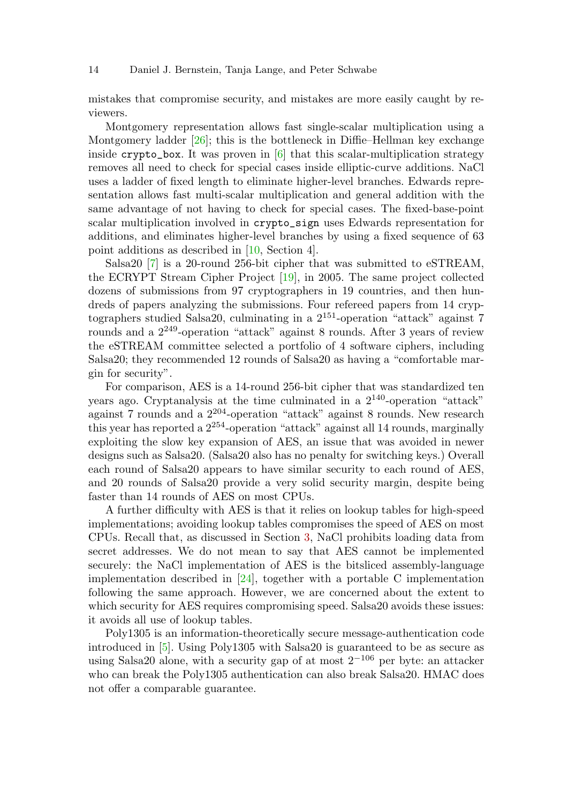mistakes that compromise security, and mistakes are more easily caught by reviewers.

Montgomery representation allows fast single-scalar multiplication using a Montgomery ladder [\[26\]](#page-16-11); this is the bottleneck in Diffie–Hellman key exchange inside crypto\_box. It was proven in  $[6]$  that this scalar-multiplication strategy removes all need to check for special cases inside elliptic-curve additions. NaCl uses a ladder of fixed length to eliminate higher-level branches. Edwards representation allows fast multi-scalar multiplication and general addition with the same advantage of not having to check for special cases. The fixed-base-point scalar multiplication involved in crypto\_sign uses Edwards representation for additions, and eliminates higher-level branches by using a fixed sequence of 63 point additions as described in [\[10,](#page-15-0) Section 4].

Salsa20 [\[7\]](#page-15-16) is a 20-round 256-bit cipher that was submitted to eSTREAM, the ECRYPT Stream Cipher Project [\[19\]](#page-15-17), in 2005. The same project collected dozens of submissions from 97 cryptographers in 19 countries, and then hundreds of papers analyzing the submissions. Four refereed papers from 14 cryptographers studied Salsa20, culminating in a  $2^{151}$ -operation "attack" against 7 rounds and a 2<sup>249</sup>-operation "attack" against 8 rounds. After 3 years of review the eSTREAM committee selected a portfolio of 4 software ciphers, including Salsa20; they recommended 12 rounds of Salsa20 as having a "comfortable margin for security".

For comparison, AES is a 14-round 256-bit cipher that was standardized ten years ago. Cryptanalysis at the time culminated in a  $2^{140}$ -operation "attack" against 7 rounds and a  $2^{204}$ -operation "attack" against 8 rounds. New research this year has reported a  $2^{254}$ -operation "attack" against all 14 rounds, marginally exploiting the slow key expansion of AES, an issue that was avoided in newer designs such as Salsa20. (Salsa20 also has no penalty for switching keys.) Overall each round of Salsa20 appears to have similar security to each round of AES, and 20 rounds of Salsa20 provide a very solid security margin, despite being faster than 14 rounds of AES on most CPUs.

A further difficulty with AES is that it relies on lookup tables for high-speed implementations; avoiding lookup tables compromises the speed of AES on most CPUs. Recall that, as discussed in Section [3,](#page-6-0) NaCl prohibits loading data from secret addresses. We do not mean to say that AES cannot be implemented securely: the NaCl implementation of AES is the bitsliced assembly-language implementation described in [\[24\]](#page-16-12), together with a portable C implementation following the same approach. However, we are concerned about the extent to which security for AES requires compromising speed. Salsa 20 avoids these issues: it avoids all use of lookup tables.

Poly1305 is an information-theoretically secure message-authentication code introduced in [\[5\]](#page-14-4). Using Poly1305 with Salsa20 is guaranteed to be as secure as using Salsa20 alone, with a security gap of at most  $2^{-106}$  per byte: an attacker who can break the Poly1305 authentication can also break Salsa20. HMAC does not offer a comparable guarantee.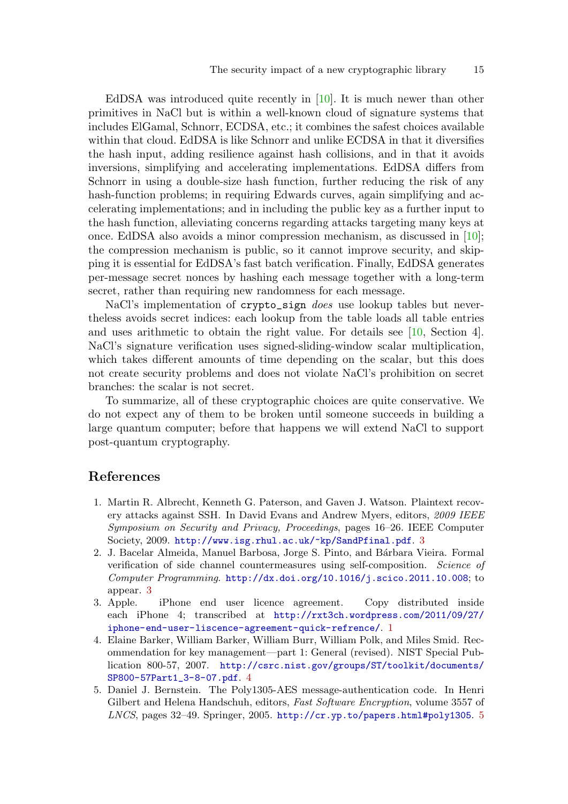EdDSA was introduced quite recently in [\[10\]](#page-15-0). It is much newer than other primitives in NaCl but is within a well-known cloud of signature systems that includes ElGamal, Schnorr, ECDSA, etc.; it combines the safest choices available within that cloud. EdDSA is like Schnorr and unlike ECDSA in that it diversifies the hash input, adding resilience against hash collisions, and in that it avoids inversions, simplifying and accelerating implementations. EdDSA differs from Schnorr in using a double-size hash function, further reducing the risk of any hash-function problems; in requiring Edwards curves, again simplifying and accelerating implementations; and in including the public key as a further input to the hash function, alleviating concerns regarding attacks targeting many keys at once. EdDSA also avoids a minor compression mechanism, as discussed in [\[10\]](#page-15-0); the compression mechanism is public, so it cannot improve security, and skipping it is essential for EdDSA's fast batch verification. Finally, EdDSA generates per-message secret nonces by hashing each message together with a long-term secret, rather than requiring new randomness for each message.

NaCl's implementation of crypto\_sign *does* use lookup tables but nevertheless avoids secret indices: each lookup from the table loads all table entries and uses arithmetic to obtain the right value. For details see [\[10,](#page-15-0) Section 4]. NaCl's signature verification uses signed-sliding-window scalar multiplication, which takes different amounts of time depending on the scalar, but this does not create security problems and does not violate NaCl's prohibition on secret branches: the scalar is not secret.

To summarize, all of these cryptographic choices are quite conservative. We do not expect any of them to be broken until someone succeeds in building a large quantum computer; before that happens we will extend NaCl to support post-quantum cryptography.

## References

- <span id="page-14-2"></span>1. Martin R. Albrecht, Kenneth G. Paterson, and Gaven J. Watson. Plaintext recovery attacks against SSH. In David Evans and Andrew Myers, editors, 2009 IEEE Symposium on Security and Privacy, Proceedings, pages 16–26. IEEE Computer Society, 2009. <http://www.isg.rhul.ac.uk/~kp/SandPfinal.pdf>. [3](#page-6-0)
- <span id="page-14-1"></span>2. J. Bacelar Almeida, Manuel Barbosa, Jorge S. Pinto, and Bárbara Vieira. Formal verification of side channel countermeasures using self-composition. Science of Computer Programming. <http://dx.doi.org/10.1016/j.scico.2011.10.008>; to appear. [3](#page-6-0)
- <span id="page-14-0"></span>3. Apple. iPhone end user licence agreement. Copy distributed inside each iPhone 4; transcribed at [http://rxt3ch.wordpress.com/2011/09/27/](http://rxt3ch.wordpress.com/2011/09/27/iphone-end-user-liscence-agreement-quick-refrence/) [iphone-end-user-liscence-agreement-quick-refrence/](http://rxt3ch.wordpress.com/2011/09/27/iphone-end-user-liscence-agreement-quick-refrence/). [1](#page-0-0)
- <span id="page-14-3"></span>4. Elaine Barker, William Barker, William Burr, William Polk, and Miles Smid. Recommendation for key management—part 1: General (revised). NIST Special Publication 800-57, 2007. [http://csrc.nist.gov/groups/ST/toolkit/documents/](http://csrc.nist.gov/groups/ST/toolkit/documents/SP800-57Part1_3-8-07.pdf) [SP800-57Part1\\_3-8-07.pdf](http://csrc.nist.gov/groups/ST/toolkit/documents/SP800-57Part1_3-8-07.pdf). [4](#page-9-0)
- <span id="page-14-4"></span>5. Daniel J. Bernstein. The Poly1305-AES message-authentication code. In Henri Gilbert and Helena Handschuh, editors, Fast Software Encryption, volume 3557 of LNCS, pages 32–49. Springer, 2005. <http://cr.yp.to/papers.html#poly1305>. [5](#page-11-0)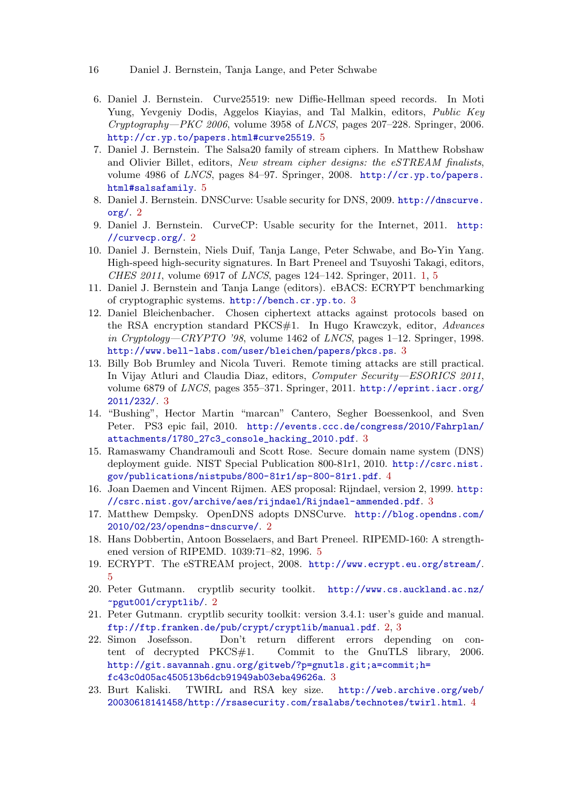- <span id="page-15-15"></span>6. Daniel J. Bernstein. Curve25519: new Diffie-Hellman speed records. In Moti Yung, Yevgeniy Dodis, Aggelos Kiayias, and Tal Malkin, editors, Public Key Cryptography—PKC 2006, volume 3958 of LNCS, pages 207–228. Springer, 2006. <http://cr.yp.to/papers.html#curve25519>. [5](#page-11-0)
- <span id="page-15-16"></span>7. Daniel J. Bernstein. The Salsa20 family of stream ciphers. In Matthew Robshaw and Olivier Billet, editors, New stream cipher designs: the eSTREAM finalists, volume 4986 of LNCS, pages 84–97. Springer, 2008. [http://cr.yp.to/papers.](http://cr.yp.to/papers.html#salsafamily) [html#salsafamily](http://cr.yp.to/papers.html#salsafamily). [5](#page-11-0)
- <span id="page-15-1"></span>8. Daniel J. Bernstein. DNSCurve: Usable security for DNS, 2009. [http://dnscurve.](http://dnscurve.org/) [org/](http://dnscurve.org/). [2](#page-2-0)
- <span id="page-15-3"></span>9. Daniel J. Bernstein. CurveCP: Usable security for the Internet, 2011. [http:](http://curvecp.org/) [//curvecp.org/](http://curvecp.org/). [2](#page-2-0)
- <span id="page-15-0"></span>10. Daniel J. Bernstein, Niels Duif, Tanja Lange, Peter Schwabe, and Bo-Yin Yang. High-speed high-security signatures. In Bart Preneel and Tsuyoshi Takagi, editors, CHES 2011, volume 6917 of LNCS, pages 124–142. Springer, 2011. [1,](#page-0-0) [5](#page-11-0)
- <span id="page-15-11"></span>11. Daniel J. Bernstein and Tanja Lange (editors). eBACS: ECRYPT benchmarking of cryptographic systems. <http://bench.cr.yp.to>. [3](#page-6-0)
- <span id="page-15-8"></span>12. Daniel Bleichenbacher. Chosen ciphertext attacks against protocols based on the RSA encryption standard PKCS#1. In Hugo Krawczyk, editor, Advances in Cryptology—CRYPTO '98, volume 1462 of LNCS, pages 1–12. Springer, 1998. <http://www.bell-labs.com/user/bleichen/papers/pkcs.ps>. [3](#page-6-0)
- <span id="page-15-7"></span>13. Billy Bob Brumley and Nicola Tuveri. Remote timing attacks are still practical. In Vijay Atluri and Claudia Diaz, editors, Computer Security—ESORICS 2011, volume 6879 of LNCS, pages 355–371. Springer, 2011. [http://eprint.iacr.org/](http://eprint.iacr.org/2011/232/) [2011/232/](http://eprint.iacr.org/2011/232/). [3](#page-6-0)
- <span id="page-15-10"></span>14. "Bushing", Hector Martin "marcan" Cantero, Segher Boessenkool, and Sven Peter. PS3 epic fail, 2010. [http://events.ccc.de/congress/2010/Fahrplan/](http://events.ccc.de/congress/2010/Fahrplan/attachments/1780_27c3_console_hacking_2010.pdf) [attachments/1780\\_27c3\\_console\\_hacking\\_2010.pdf](http://events.ccc.de/congress/2010/Fahrplan/attachments/1780_27c3_console_hacking_2010.pdf). [3](#page-6-0)
- <span id="page-15-13"></span>15. Ramaswamy Chandramouli and Scott Rose. Secure domain name system (DNS) deployment guide. NIST Special Publication 800-81r1, 2010. [http://csrc.nist.](http://csrc.nist.gov/publications/nistpubs/800-81r1/sp-800-81r1.pdf) [gov/publications/nistpubs/800-81r1/sp-800-81r1.pdf](http://csrc.nist.gov/publications/nistpubs/800-81r1/sp-800-81r1.pdf). [4](#page-9-0)
- <span id="page-15-6"></span>16. Joan Daemen and Vincent Rijmen. AES proposal: Rijndael, version 2, 1999. [http:](http://csrc.nist.gov/archive/aes/rijndael/Rijndael-ammended.pdf) [//csrc.nist.gov/archive/aes/rijndael/Rijndael-ammended.pdf](http://csrc.nist.gov/archive/aes/rijndael/Rijndael-ammended.pdf). [3](#page-6-0)
- <span id="page-15-2"></span>17. Matthew Dempsky. OpenDNS adopts DNSCurve. [http://blog.opendns.com/](http://blog.opendns.com/2010/02/23/opendns-dnscurve/) [2010/02/23/opendns-dnscurve/](http://blog.opendns.com/2010/02/23/opendns-dnscurve/). [2](#page-2-0)
- <span id="page-15-14"></span>18. Hans Dobbertin, Antoon Bosselaers, and Bart Preneel. RIPEMD-160: A strengthened version of RIPEMD. 1039:71–82, 1996. [5](#page-11-0)
- <span id="page-15-17"></span>19. ECRYPT. The eSTREAM project, 2008. <http://www.ecrypt.eu.org/stream/>. [5](#page-11-0)
- <span id="page-15-4"></span>20. Peter Gutmann. cryptlib security toolkit. [http://www.cs.auckland.ac.nz/](http://www.cs.auckland.ac.nz/~pgut001/cryptlib/) [~pgut001/cryptlib/](http://www.cs.auckland.ac.nz/~pgut001/cryptlib/). [2](#page-2-0)
- <span id="page-15-5"></span>21. Peter Gutmann. cryptlib security toolkit: version 3.4.1: user's guide and manual. <ftp://ftp.franken.de/pub/crypt/cryptlib/manual.pdf>. [2,](#page-2-0) [3](#page-6-0)
- <span id="page-15-9"></span>22. Simon Josefsson. Don't return different errors depending on content of decrypted PKCS#1. Commit to the GnuTLS library, 2006. [http://git.savannah.gnu.org/gitweb/?p=gnutls.git;a=commit;h=](http://git.savannah.gnu.org/gitweb/?p=gnutls.git;a=commit;h=fc43c0d05ac450513b6dcb91949ab03eba49626a) [fc43c0d05ac450513b6dcb91949ab03eba49626a](http://git.savannah.gnu.org/gitweb/?p=gnutls.git;a=commit;h=fc43c0d05ac450513b6dcb91949ab03eba49626a). [3](#page-6-0)
- <span id="page-15-12"></span>23. Burt Kaliski. TWIRL and RSA key size. [http://web.archive.org/web/](http://web.archive.org/web/20030618141458/http://rsasecurity.com/rsalabs/technotes/twirl.html) [20030618141458/http://rsasecurity.com/rsalabs/technotes/twirl.html](http://web.archive.org/web/20030618141458/http://rsasecurity.com/rsalabs/technotes/twirl.html). [4](#page-9-0)

<sup>16</sup> Daniel J. Bernstein, Tanja Lange, and Peter Schwabe